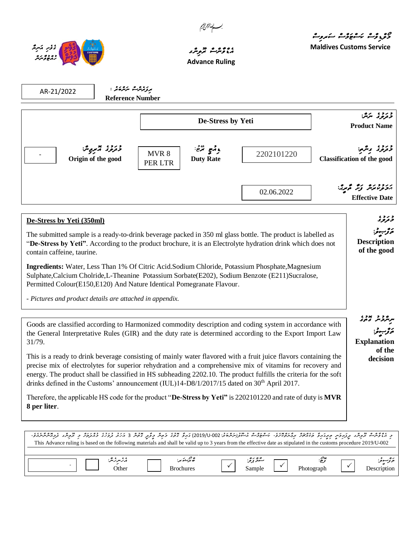



## ، **، ، ، ، ، ، ، ، ، ،**<br>م<sub>ؤثر</sub> مربر مربر ، **Advance Ruling**

مو<sub>د وقري</sub>و مروت مشروب **Maldives Customs Service**

مرمرو د عدد ع<br>سرمبرو *سر*م

**Explanation** 

مۇرىبوت<sub>ۇ:</sub>

**of the decision**

|                                                                                                                                                                                                                                                                                       | De-Stress by Yeti                                  |            | درد، شرگ:<br><b>Product Name</b>                                      |  |
|---------------------------------------------------------------------------------------------------------------------------------------------------------------------------------------------------------------------------------------------------------------------------------------|----------------------------------------------------|------------|-----------------------------------------------------------------------|--|
| درد، چربی.<br>Origin of the good                                                                                                                                                                                                                                                      | وأرمح ترضج<br>MVR 8<br><b>Duty Rate</b><br>PER LTR | 2202101220 | وروء ويرمو<br><b>Classification of the good</b>                       |  |
|                                                                                                                                                                                                                                                                                       |                                                    | 02.06.2022 | برددوند زير فرمرين<br><b>Effective Date</b>                           |  |
| De-Stress by Yeti (350ml)<br>The submitted sample is a ready-to-drink beverage packed in 350 ml glass bottle. The product is labelled as<br>"De-Stress by Yeti". According to the product brochure, it is an Electrolyte hydration drink which does not<br>contain caffeine, taurine. |                                                    |            | و ژوء<br>ئ <sub>ۇ</sub> ر بېرىز:<br><b>Description</b><br>of the good |  |

Sulphate,Calcium Cholride,L-Theanine Potassium Sorbate(E202), Sodium Benzote (E211)Sucralose, Permitted Colour(E150,E120) And Nature Identical Pomegranate Flavour.

*- Pictures and product details are attached in appendix.*

| Goods are classified according to Harmonized commodity description and coding system in accordance with   |
|-----------------------------------------------------------------------------------------------------------|
| the General Interpretative Rules (GIR) and the duty rate is determined according to the Export Import Law |
| 31/79.                                                                                                    |

This is a ready to drink beverage consisting of mainly water flavored with a fruit juice flavors containing the precise mix of electrolytes for superior rehydration and a comprehensive mix of vitamins for recovery and energy. The product shall be classified in HS subheading 2202.10. The product fulfills the criteria for the soft drinks defined in the Customs' announcement (IUL)14-D8/1/2017/15 dated on 30<sup>th</sup> April 2017.

Therefore, the applicable HS code for the product "**De-Stress by Yeti"** is 2202101220 and rate of duty is **MVR 8 per liter**.

| د ، ئۇش ترىپىر پرىرەس مېرىگە مەمەتر بەتەھ ئەسكۈن مەسرىرىتىن 002-019/000) ئەرۇ تەر دۇپر توپر تەمەد دەر دەر بول ئېرىشى ئۇر ئايرى ئايرى ئايرى ئايرى ئۇر ئۇر ئايرى ئايرى ئايرى ئايرى ئايرى ئا<br>This Advance ruling is based on the following materials and shall be valid up to 3 years from the effective date as stipulated in the customs procedure 2019/U-002 |                  |           |            |               |
|-----------------------------------------------------------------------------------------------------------------------------------------------------------------------------------------------------------------------------------------------------------------------------------------------------------------------------------------------------------------|------------------|-----------|------------|---------------|
| ە ئەسەر ئەش:                                                                                                                                                                                                                                                                                                                                                    | ە جىمىستىر       | شرد بزغر: | Photograph | فتوقو تسعوقوا |
| Other                                                                                                                                                                                                                                                                                                                                                           | <b>Brochures</b> | Sample    |            | Description   |